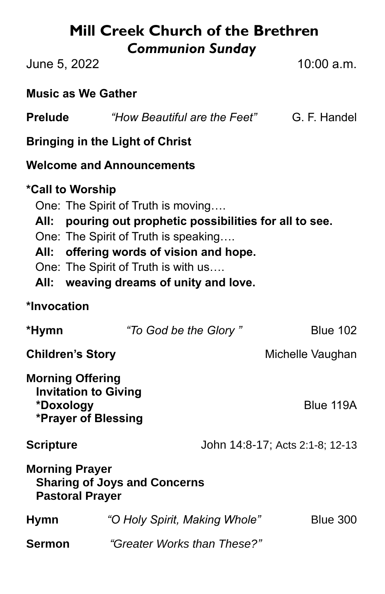# **Mill Creek Church of the Brethren** *Communion Sunday*

June 5, 2022 10:00 a.m.

### **Music as We Gather**

| <b>Prelude</b> | "How Beautiful are the Feet" | G. F. Handel |
|----------------|------------------------------|--------------|
|----------------|------------------------------|--------------|

#### **Bringing in the Light of Christ**

### **Welcome and Announcements**

### **\*Call to Worship**

- One: The Spirit of Truth is moving….
- **All: pouring out prophetic possibilities for all to see.**
- One: The Spirit of Truth is speaking….
- **All: offering words of vision and hope.**
- One: The Spirit of Truth is with us….
- **All: weaving dreams of unity and love.**

### **\*Invocation**

| *Hymn                                                                                      | "To God be the Glory"         | <b>Blue 102</b>                 |  |  |
|--------------------------------------------------------------------------------------------|-------------------------------|---------------------------------|--|--|
| <b>Children's Story</b>                                                                    |                               | Michelle Vaughan                |  |  |
| <b>Morning Offering</b><br><b>Invitation to Giving</b><br>*Doxology<br>*Prayer of Blessing |                               | Blue 119A                       |  |  |
| <b>Scripture</b>                                                                           |                               | John 14:8-17; Acts 2:1-8; 12-13 |  |  |
| <b>Morning Prayer</b><br><b>Sharing of Joys and Concerns</b><br><b>Pastoral Prayer</b>     |                               |                                 |  |  |
| <b>Hymn</b>                                                                                | "O Holy Spirit, Making Whole" | <b>Blue 300</b>                 |  |  |
| Sermon                                                                                     | "Greater Works than These?"   |                                 |  |  |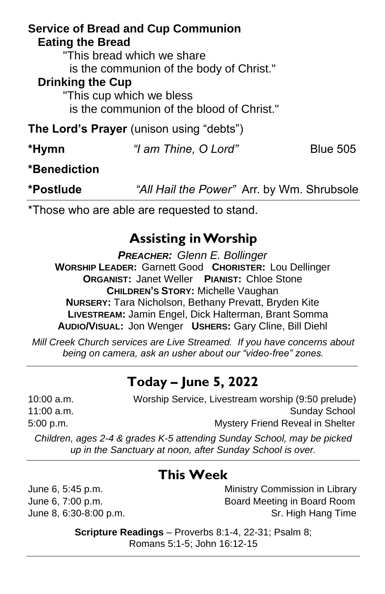|                         | <b>Service of Bread and Cup Communion</b>       |                 |
|-------------------------|-------------------------------------------------|-----------------|
| <b>Eating the Bread</b> |                                                 |                 |
|                         | "This bread which we share                      |                 |
|                         | is the communion of the body of Christ."        |                 |
| <b>Drinking the Cup</b> |                                                 |                 |
|                         | "This cup which we bless                        |                 |
|                         | is the communion of the blood of Christ."       |                 |
|                         | <b>The Lord's Prayer</b> (unison using "debts") |                 |
| *Hymn                   | "I am Thine, O Lord"                            | <b>Blue 505</b> |
| *Benediction            |                                                 |                 |

**\*Postlude** *"All Hail the Power"* Arr. by Wm. Shrubsole

\*Those who are able are requested to stand.

## **Assisting in Worship**

*PREACHER: Glenn E. Bollinger* **WORSHIP LEADER:** Garnett Good **CHORISTER:** Lou Dellinger **ORGANIST:** Janet Weller **PIANIST:** Chloe Stone **CHILDREN'S STORY:** Michelle Vaughan **NURSERY:** Tara Nicholson, Bethany Prevatt, Bryden Kite **LIVESTREAM:** Jamin Engel, Dick Halterman, Brant Somma **AUDIO/VISUAL:** Jon Wenger **USHERS:** Gary Cline, Bill Diehl

*Mill Creek Church services are Live Streamed. If you have concerns about being on camera, ask an usher about our "video-free" zones.*

## **Today – June 5, 2022**

10:00 a.m. Worship Service, Livestream worship (9:50 prelude) 11:00 a.m. Sunday School and Sunday School and Sunday School and Sunday School and Sunday School and Sunday School 5:00 p.m. Mystery Friend Reveal in Shelter

*Children, ages 2-4 & grades K-5 attending Sunday School, may be picked up in the Sanctuary at noon, after Sunday School is over.*

## **This Week**

June 6, 5:45 p.m. Ministry Commission in Library June 6, 7:00 p.m. Board Meeting in Board Room June 8, 6:30-8:00 p.m. Sr. High Hang Time

> **Scripture Readings** – Proverbs 8:1-4, 22-31; Psalm 8; Romans 5:1-5; John 16:12-15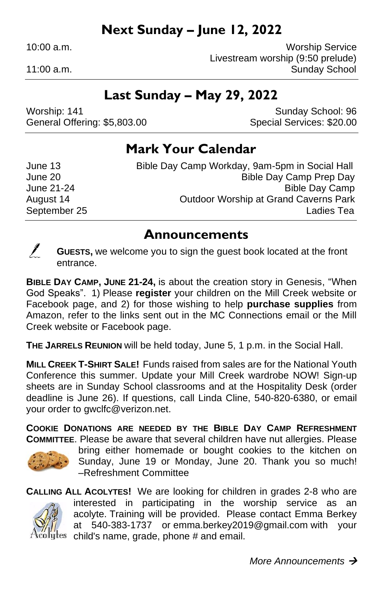## **Next Sunday – June 12, 2022**

10:00 a.m. Worship Service Livestream worship (9:50 prelude) 11:00 a.m.

## **Last Sunday – May 29, 2022**

Worship: 141 **Sunday School: 96** Sunday School: 96 General Offering: \$5,803.00 Special Services: \$20.00

### **Mark Your Calendar**

June 13 Bible Day Camp Workday, 9am-5pm in Social Hall June 20 Bible Day Camp Prep Day June 21-24 **Bible Day Camp** August 14 Outdoor Worship at Grand Caverns Park September 25 Ladies Tea

#### **Announcements**



**GUESTS,** we welcome you to sign the guest book located at the front entrance.

**BIBLE DAY CAMP, JUNE 21-24,** is about the creation story in Genesis, "When God Speaks".1) Please **register** your children on the Mill Creek website or Facebook page, and 2) for those wishing to help **purchase supplies** from Amazon, refer to the links sent out in the MC Connections email or the Mill Creek website or Facebook page.

**THE JARRELS REUNION** will be held today, June 5, 1 p.m. in the Social Hall.

**MILL CREEK T-SHIRT SALE!** Funds raised from sales are for the National Youth Conference this summer. Update your Mill Creek wardrobe NOW! Sign-up sheets are in Sunday School classrooms and at the Hospitality Desk (order deadline is June 26). If questions, call Linda Cline, 540-820-6380, or email your order to gwclfc@verizon.net.

**COOKIE DONATIONS ARE NEEDED BY THE BIBLE DAY CAMP REFRESHMENT COMMITTEE**. Please be aware that several children have nut allergies. Please



bring either homemade or bought cookies to the kitchen on Sunday, June 19 or Monday, June 20. Thank you so much! –Refreshment Committee

**CALLING ALL ACOLYTES!** We are looking for children in grades 2-8 who are interested in participating in the worship service as an acolyte. Training will be provided. Please contact Emma Berkey at 540-383-1737 or emma.berkey2019@gmail.com with your  $l$ <sup>ty</sup>tes child's name, grade, phone # and email.